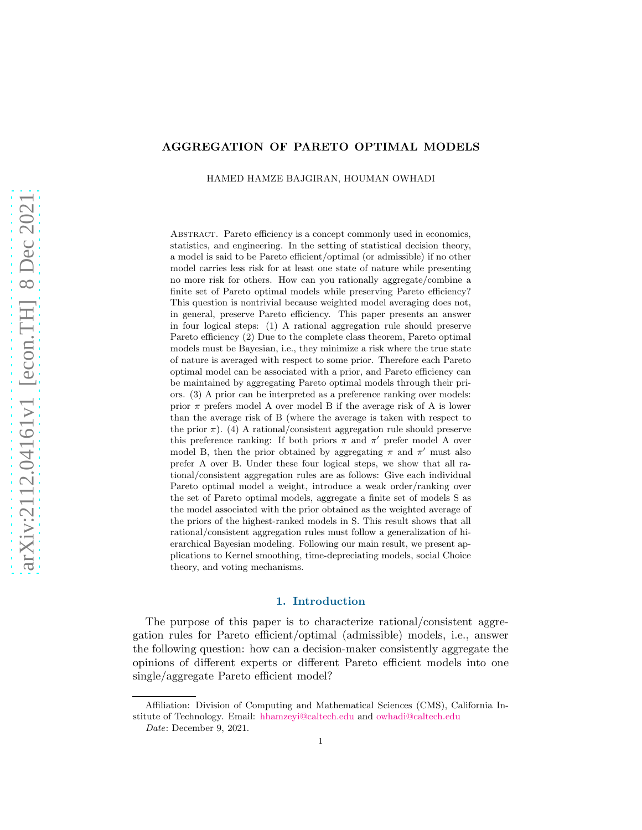## AGGREGATION OF PARETO OPTIMAL MODELS

HAMED HAMZE BAJGIRAN, HOUMAN OWHADI

ABSTRACT. Pareto efficiency is a concept commonly used in economics, statistics, and engineering. In the setting of statistical decision theory, a model is said to be Pareto efficient/optimal (or admissible) if no other model carries less risk for at least one state of nature while presenting no more risk for others. How can you rationally aggregate/combine a finite set of Pareto optimal models while preserving Pareto efficiency? This question is nontrivial because weighted model averaging does not, in general, preserve Pareto efficiency. This paper presents an answer in four logical steps: (1) A rational aggregation rule should preserve Pareto efficiency (2) Due to the complete class theorem, Pareto optimal models must be Bayesian, i.e., they minimize a risk where the true state of nature is averaged with respect to some prior. Therefore each Pareto optimal model can be associated with a prior, and Pareto efficiency can be maintained by aggregating Pareto optimal models through their priors. (3) A prior can be interpreted as a preference ranking over models: prior  $\pi$  prefers model A over model B if the average risk of A is lower than the average risk of B (where the average is taken with respect to the prior  $\pi$ ). (4) A rational/consistent aggregation rule should preserve this preference ranking: If both priors  $\pi$  and  $\pi'$  prefer model A over model B, then the prior obtained by aggregating  $\pi$  and  $\pi'$  must also prefer A over B. Under these four logical steps, we show that all rational/consistent aggregation rules are as follows: Give each individual Pareto optimal model a weight, introduce a weak order/ranking over the set of Pareto optimal models, aggregate a finite set of models S as the model associated with the prior obtained as the weighted average of the priors of the highest-ranked models in S. This result shows that all rational/consistent aggregation rules must follow a generalization of hierarchical Bayesian modeling. Following our main result, we present applications to Kernel smoothing, time-depreciating models, social Choice theory, and voting mechanisms.

## 1. Introduction

The purpose of this paper is to characterize rational/consistent aggregation rules for Pareto efficient/optimal (admissible) models, i.e., answer the following question: how can a decision-maker consistently aggregate the opinions of different experts or different Pareto efficient models into one single/aggregate Pareto efficient model?

Affiliation: Division of Computing and Mathematical Sciences (CMS), California Institute of Technology. Email: [hhamzeyi@caltech.edu](mailto:hhamzeyi@caltech.edu) and [owhadi@caltech.edu](mailto:owshadi@caltech.edu)

Date: December 9, 2021.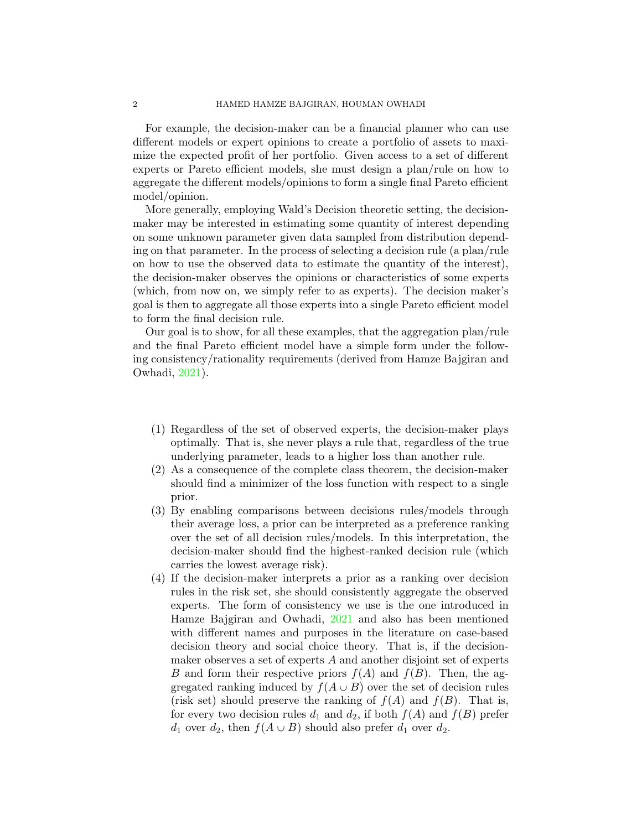For example, the decision-maker can be a financial planner who can use different models or expert opinions to create a portfolio of assets to maximize the expected profit of her portfolio. Given access to a set of different experts or Pareto efficient models, she must design a plan/rule on how to aggregate the different models/opinions to form a single final Pareto efficient model/opinion.

More generally, employing Wald's Decision theoretic setting, the decisionmaker may be interested in estimating some quantity of interest depending on some unknown parameter given data sampled from distribution depending on that parameter. In the process of selecting a decision rule (a plan/rule on how to use the observed data to estimate the quantity of the interest), the decision-maker observes the opinions or characteristics of some experts (which, from now on, we simply refer to as experts). The decision maker's goal is then to aggregate all those experts into a single Pareto efficient model to form the final decision rule.

Our goal is to show, for all these examples, that the aggregation plan/rule and the final Pareto efficient model have a simple form under the following consistency/rationality requirements (derived from Hamze Bajgiran and Owhadi, [2021](#page-21-0)).

- (1) Regardless of the set of observed experts, the decision-maker plays optimally. That is, she never plays a rule that, regardless of the true underlying parameter, leads to a higher loss than another rule.
- (2) As a consequence of the complete class theorem, the decision-maker should find a minimizer of the loss function with respect to a single prior.
- (3) By enabling comparisons between decisions rules/models through their average loss, a prior can be interpreted as a preference ranking over the set of all decision rules/models. In this interpretation, the decision-maker should find the highest-ranked decision rule (which carries the lowest average risk).
- (4) If the decision-maker interprets a prior as a ranking over decision rules in the risk set, she should consistently aggregate the observed experts. The form of consistency we use is the one introduced in Hamze Bajgiran and Owhadi, [2021](#page-21-0) and also has been mentioned with different names and purposes in the literature on case-based decision theory and social choice theory. That is, if the decisionmaker observes a set of experts A and another disjoint set of experts B and form their respective priors  $f(A)$  and  $f(B)$ . Then, the aggregated ranking induced by  $f(A \cup B)$  over the set of decision rules (risk set) should preserve the ranking of  $f(A)$  and  $f(B)$ . That is, for every two decision rules  $d_1$  and  $d_2$ , if both  $f(A)$  and  $f(B)$  prefer  $d_1$  over  $d_2$ , then  $f(A \cup B)$  should also prefer  $d_1$  over  $d_2$ .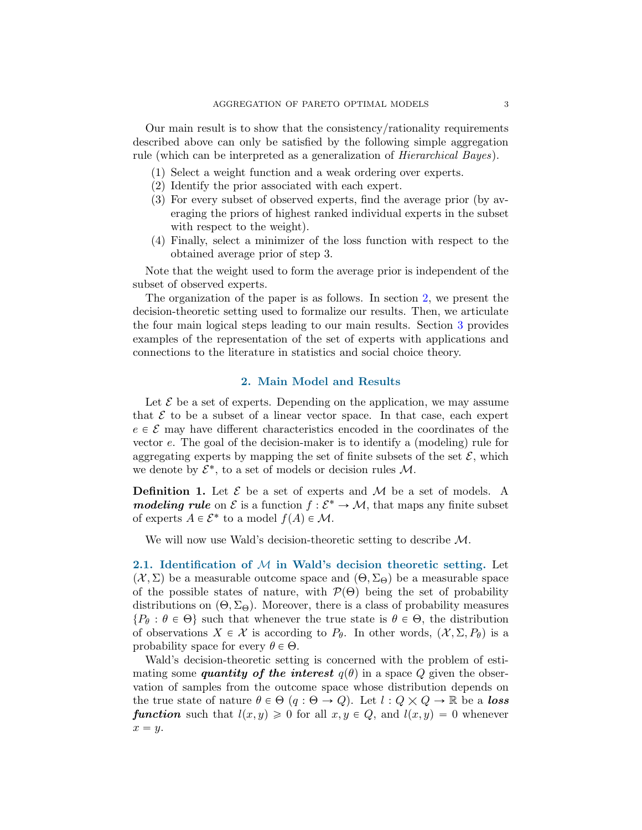Our main result is to show that the consistency/rationality requirements described above can only be satisfied by the following simple aggregation rule (which can be interpreted as a generalization of Hierarchical Bayes).

- (1) Select a weight function and a weak ordering over experts.
- (2) Identify the prior associated with each expert.
- (3) For every subset of observed experts, find the average prior (by averaging the priors of highest ranked individual experts in the subset with respect to the weight).
- (4) Finally, select a minimizer of the loss function with respect to the obtained average prior of step 3.

Note that the weight used to form the average prior is independent of the subset of observed experts.

The organization of the paper is as follows. In section [2,](#page-2-0) we present the decision-theoretic setting used to formalize our results. Then, we articulate the four main logical steps leading to our main results. Section [3](#page-15-0) provides examples of the representation of the set of experts with applications and connections to the literature in statistics and social choice theory.

## 2. Main Model and Results

<span id="page-2-0"></span>Let  $\mathcal E$  be a set of experts. Depending on the application, we may assume that  $\mathcal E$  to be a subset of a linear vector space. In that case, each expert  $e \in \mathcal{E}$  may have different characteristics encoded in the coordinates of the vector e. The goal of the decision-maker is to identify a (modeling) rule for aggregating experts by mapping the set of finite subsets of the set  $\mathcal{E}$ , which we denote by  $\mathcal{E}^*$ , to a set of models or decision rules  $\mathcal{M}$ .

**Definition 1.** Let  $\mathcal{E}$  be a set of experts and  $\mathcal{M}$  be a set of models. A modeling rule on  $\mathcal E$  is a function  $f: \mathcal E^* \to \mathcal M$ , that maps any finite subset of experts  $A \in \mathcal{E}^*$  to a model  $f(A) \in \mathcal{M}$ .

We will now use Wald's decision-theoretic setting to describe  $\mathcal{M}$ .

2.1. Identification of  $M$  in Wald's decision theoretic setting. Let  $(X, \Sigma)$  be a measurable outcome space and  $(\Theta, \Sigma_{\Theta})$  be a measurable space of the possible states of nature, with  $\mathcal{P}(\Theta)$  being the set of probability distributions on  $(\Theta, \Sigma_{\Theta})$ . Moreover, there is a class of probability measures  $\{P_\theta : \theta \in \Theta\}$  such that whenever the true state is  $\theta \in \Theta$ , the distribution of observations  $X \in \mathcal{X}$  is according to  $P_{\theta}$ . In other words,  $(\mathcal{X}, \Sigma, P_{\theta})$  is a probability space for every  $\theta \in \Theta$ .

Wald's decision-theoretic setting is concerned with the problem of estimating some quantity of the interest  $q(\theta)$  in a space Q given the observation of samples from the outcome space whose distribution depends on the true state of nature  $\theta \in \Theta$   $(q : \Theta \to Q)$ . Let  $l : Q \times Q \to \mathbb{R}$  be a loss **function** such that  $l(x, y) \ge 0$  for all  $x, y \in Q$ , and  $l(x, y) = 0$  whenever  $x = y$ .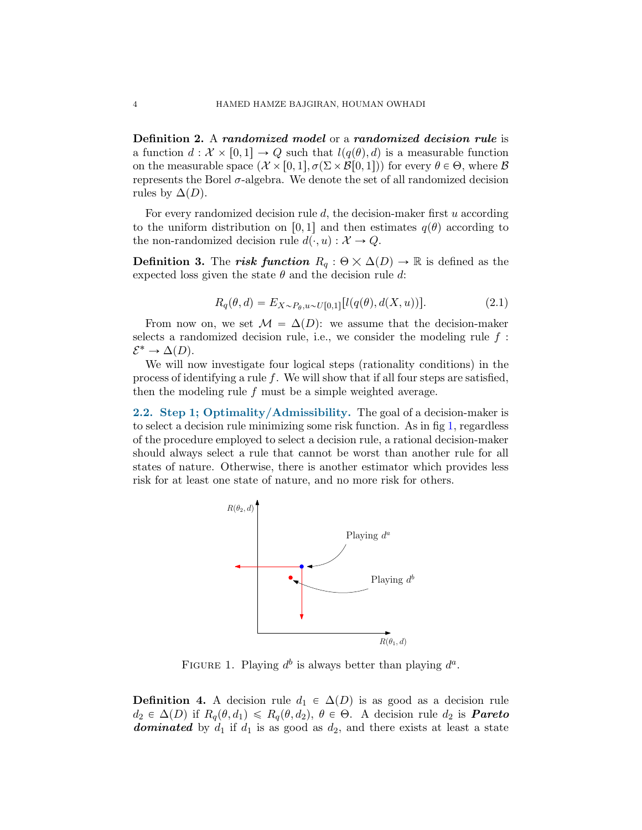Definition 2. A randomized model or a randomized decision rule is a function  $d : \mathcal{X} \times [0, 1] \rightarrow Q$  such that  $l(q(\theta), d)$  is a measurable function on the measurable space  $(\mathcal{X} \times [0, 1], \sigma(\Sigma \times \mathcal{B}[0, 1]))$  for every  $\theta \in \Theta$ , where  $\mathcal{B}$ represents the Borel  $\sigma$ -algebra. We denote the set of all randomized decision rules by  $\Delta(D)$ .

For every randomized decision rule  $d$ , the decision-maker first  $u$  according to the uniform distribution on [0, 1] and then estimates  $q(\theta)$  according to the non-randomized decision rule  $d(\cdot, u): \mathcal{X} \to Q$ .

**Definition 3.** The risk function  $R_q : \Theta \times \Delta(D) \to \mathbb{R}$  is defined as the expected loss given the state  $\theta$  and the decision rule d:

$$
R_q(\theta, d) = E_{X \sim P_{\theta}, u \sim U[0,1]} [l(q(\theta), d(X, u))].
$$
\n(2.1)

From now on, we set  $\mathcal{M} = \Delta(D)$ : we assume that the decision-maker selects a randomized decision rule, i.e., we consider the modeling rule  $f$ :  $\mathcal{E}^* \to \Delta(D).$ 

We will now investigate four logical steps (rationality conditions) in the process of identifying a rule  $f$ . We will show that if all four steps are satisfied, then the modeling rule  $f$  must be a simple weighted average.

<span id="page-3-1"></span><span id="page-3-0"></span>2.2. Step 1; Optimality/Admissibility. The goal of a decision-maker is to select a decision rule minimizing some risk function. As in fig [1,](#page-3-0) regardless of the procedure employed to select a decision rule, a rational decision-maker should always select a rule that cannot be worst than another rule for all states of nature. Otherwise, there is another estimator which provides less risk for at least one state of nature, and no more risk for others.



FIGURE 1. Playing  $d^b$  is always better than playing  $d^a$ .

**Definition 4.** A decision rule  $d_1 \in \Delta(D)$  is as good as a decision rule  $d_2 \in \Delta(D)$  if  $R_q(\theta, d_1) \le R_q(\theta, d_2)$ ,  $\theta \in \Theta$ . A decision rule  $d_2$  is **Pareto dominated** by  $d_1$  if  $d_1$  is as good as  $d_2$ , and there exists at least a state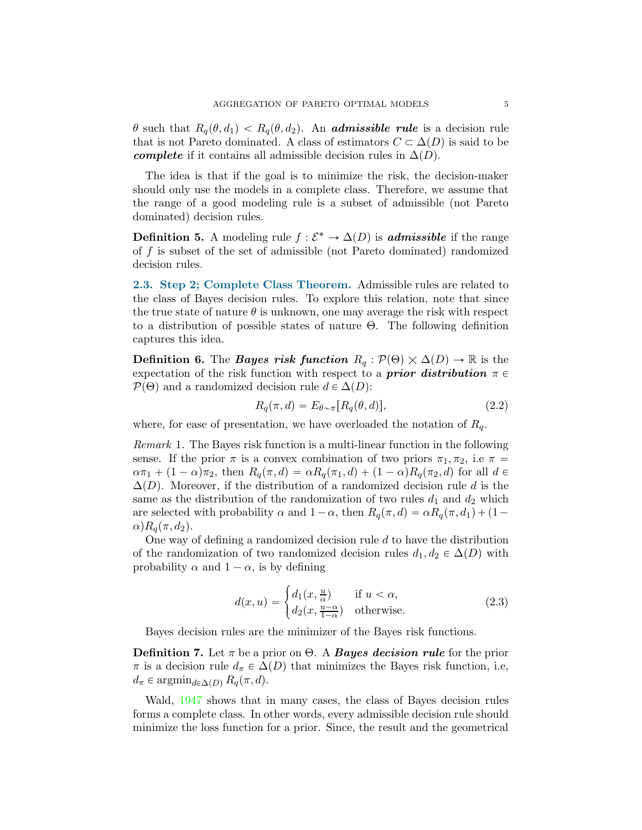θ such that  $R_q(\theta, d_1) < R_q(\theta, d_2)$ . An **admissible rule** is a decision rule that is not Pareto dominated. A class of estimators  $C \subset \Delta(D)$  is said to be complete if it contains all admissible decision rules in  $\Delta(D)$ .

The idea is that if the goal is to minimize the risk, the decision-maker should only use the models in a complete class. Therefore, we assume that the range of a good modeling rule is a subset of admissible (not Pareto dominated) decision rules.

**Definition 5.** A modeling rule  $f : \mathcal{E}^* \to \Delta(D)$  is **admissible** if the range of f is subset of the set of admissible (not Pareto dominated) randomized decision rules.

<span id="page-4-1"></span>2.3. Step 2; Complete Class Theorem. Admissible rules are related to the class of Bayes decision rules. To explore this relation, note that since the true state of nature  $\theta$  is unknown, one may average the risk with respect to a distribution of possible states of nature Θ. The following definition captures this idea.

**Definition 6.** The *Bayes risk function*  $R_q : \mathcal{P}(\Theta) \times \Delta(D) \to \mathbb{R}$  is the expectation of the risk function with respect to a **prior distribution**  $\pi \in$  $P(\Theta)$  and a randomized decision rule  $d \in \Delta(D)$ :

$$
R_q(\pi, d) = E_{\theta \sim \pi} [R_q(\theta, d)], \qquad (2.2)
$$

where, for ease of presentation, we have overloaded the notation of  $R_q$ .

<span id="page-4-0"></span>Remark 1. The Bayes risk function is a multi-linear function in the following sense. If the prior  $\pi$  is a convex combination of two priors  $\pi_1, \pi_2$ , i.e  $\pi$  =  $\alpha \pi_1 + (1 - \alpha)\pi_2$ , then  $R_q(\pi, d) = \alpha R_q(\pi_1, d) + (1 - \alpha)R_q(\pi_2, d)$  for all  $d \in$  $\Delta(D)$ . Moreover, if the distribution of a randomized decision rule d is the same as the distribution of the randomization of two rules  $d_1$  and  $d_2$  which are selected with probability  $\alpha$  and  $1-\alpha$ , then  $R_q(\pi, d) = \alpha R_q(\pi, d_1) + (1-\alpha)^{1/2}$  $\alpha$ ) $R_q(\pi, d_2)$ .

One way of defining a randomized decision rule  $d$  to have the distribution of the randomization of two randomized decision rules  $d_1, d_2 \in \Delta(D)$  with probability  $\alpha$  and  $1 - \alpha$ , is by defining

$$
d(x, u) = \begin{cases} d_1(x, \frac{u}{\alpha}) & \text{if } u < \alpha, \\ d_2(x, \frac{u-\alpha}{1-\alpha}) & \text{otherwise.} \end{cases}
$$
 (2.3)

Bayes decision rules are the minimizer of the Bayes risk functions.

**Definition 7.** Let  $\pi$  be a prior on  $\Theta$ . A **Bayes decision rule** for the prior  $\pi$  is a decision rule  $d_{\pi} \in \Delta(D)$  that minimizes the Bayes risk function, i.e,  $d_{\pi} \in \operatorname{argmin}_{d \in \Delta(D)} R_q(\pi, d).$ 

Wald, [1947](#page-22-0) shows that in many cases, the class of Bayes decision rules forms a complete class. In other words, every admissible decision rule should minimize the loss function for a prior. Since, the result and the geometrical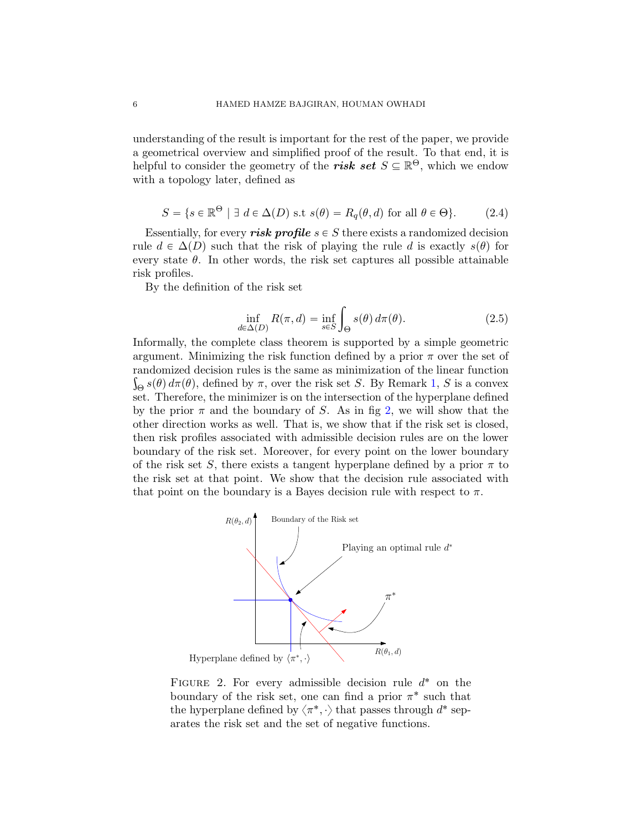understanding of the result is important for the rest of the paper, we provide a geometrical overview and simplified proof of the result. To that end, it is helpful to consider the geometry of the **risk set**  $S \subseteq \mathbb{R}^{\Theta}$ , which we endow with a topology later, defined as

$$
S = \{ s \in \mathbb{R}^{\Theta} \mid \exists d \in \Delta(D) \text{ s.t } s(\theta) = R_q(\theta, d) \text{ for all } \theta \in \Theta \}. \tag{2.4}
$$

Essentially, for every risk profile  $s \in S$  there exists a randomized decision rule  $d \in \Delta(D)$  such that the risk of playing the rule d is exactly  $s(\theta)$  for every state  $\theta$ . In other words, the risk set captures all possible attainable risk profiles.

By the definition of the risk set

<span id="page-5-1"></span>
$$
\inf_{d \in \Delta(D)} R(\pi, d) = \inf_{s \in S} \int_{\Theta} s(\theta) d\pi(\theta). \tag{2.5}
$$

Informally, the complete class theorem is supported by a simple geometric argument. Minimizing the risk function defined by a prior  $\pi$  over the set of randomized decision rules is the same as minimization of the linear function  $\int_{\Theta} s(\theta) d\pi(\theta)$ , defined by  $\pi$ , over the risk set S. By Remark [1,](#page-4-0) S is a convex set. Therefore, the minimizer is on the intersection of the hyperplane defined by the prior  $\pi$  and the boundary of S. As in fig [2,](#page-5-0) we will show that the other direction works as well. That is, we show that if the risk set is closed, then risk profiles associated with admissible decision rules are on the lower boundary of the risk set. Moreover, for every point on the lower boundary of the risk set S, there exists a tangent hyperplane defined by a prior  $\pi$  to the risk set at that point. We show that the decision rule associated with that point on the boundary is a Bayes decision rule with respect to  $\pi$ .

<span id="page-5-0"></span>

FIGURE 2. For every admissible decision rule  $d^*$  on the boundary of the risk set, one can find a prior  $\pi^*$  such that the hyperplane defined by  $\langle \pi^*, \cdot \rangle$  that passes through  $d^*$  separates the risk set and the set of negative functions.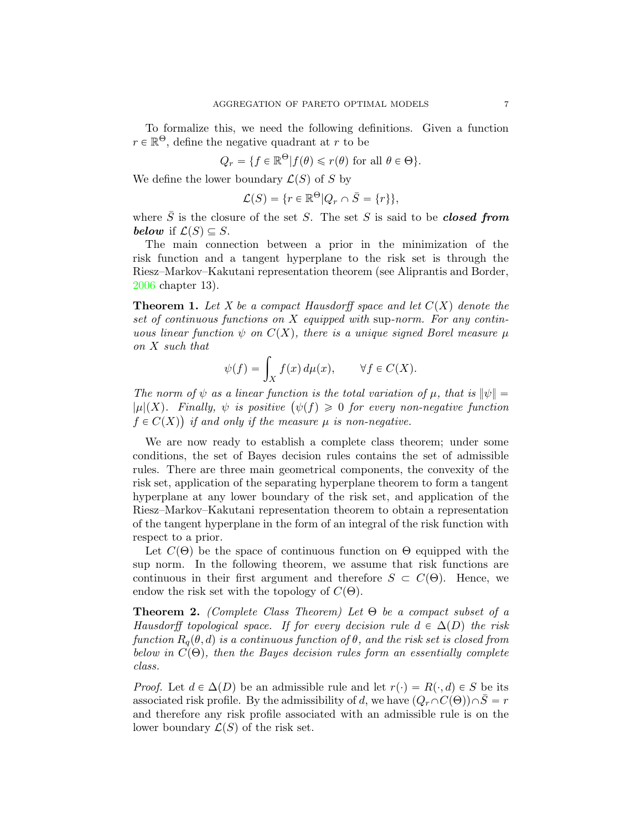To formalize this, we need the following definitions. Given a function  $r \in \mathbb{R}^{\Theta}$ , define the negative quadrant at r to be

$$
Q_r = \{ f \in \mathbb{R}^\Theta | f(\theta) \le r(\theta) \text{ for all } \theta \in \Theta \}.
$$

We define the lower boundary  $\mathcal{L}(S)$  of S by

$$
\mathcal{L}(S) = \{r \in \mathbb{R}^{\Theta} | Q_r \cap \overline{S} = \{r\}\},\
$$

where  $\overline{S}$  is the closure of the set S. The set S is said to be **closed from** below if  $\mathcal{L}(S) \subseteq S$ .

The main connection between a prior in the minimization of the risk function and a tangent hyperplane to the risk set is through the Riesz–Markov–Kakutani representation theorem (see Aliprantis and Border, [2006](#page-20-0) chapter 13).

**Theorem 1.** Let X be a compact Hausdorff space and let  $C(X)$  denote the set of continuous functions on X equipped with sup-norm. For any continuous linear function  $\psi$  on  $C(X)$ , there is a unique signed Borel measure  $\mu$ on X such that

$$
\psi(f) = \int_X f(x) \, d\mu(x), \qquad \forall f \in C(X).
$$

The norm of  $\psi$  as a linear function is the total variation of  $\mu$ , that is  $\|\psi\| =$  $|\mu|(X)$ . Finally,  $\psi$  is positive  $(\psi(f) \geq 0$  for every non-negative function  $f \in C(X)$  if and only if the measure  $\mu$  is non-negative.

We are now ready to establish a complete class theorem; under some conditions, the set of Bayes decision rules contains the set of admissible rules. There are three main geometrical components, the convexity of the risk set, application of the separating hyperplane theorem to form a tangent hyperplane at any lower boundary of the risk set, and application of the Riesz–Markov–Kakutani representation theorem to obtain a representation of the tangent hyperplane in the form of an integral of the risk function with respect to a prior.

Let  $C(\Theta)$  be the space of continuous function on  $\Theta$  equipped with the sup norm. In the following theorem, we assume that risk functions are continuous in their first argument and therefore  $S \subset C(\Theta)$ . Hence, we endow the risk set with the topology of  $C(\Theta)$ .

**Theorem 2.** (Complete Class Theorem) Let  $\Theta$  be a compact subset of a Hausdorff topological space. If for every decision rule  $d \in \Delta(D)$  the risk function  $R_q(\theta, d)$  is a continuous function of  $\theta$ , and the risk set is closed from below in  $C(\Theta)$ , then the Bayes decision rules form an essentially complete class.

*Proof.* Let  $d \in \Delta(D)$  be an admissible rule and let  $r(\cdot) = R(\cdot, d) \in S$  be its associated risk profile. By the admissibility of d, we have  $(Q_r \cap C(\Theta)) \cap \overline{S} = r$ and therefore any risk profile associated with an admissible rule is on the lower boundary  $\mathcal{L}(S)$  of the risk set.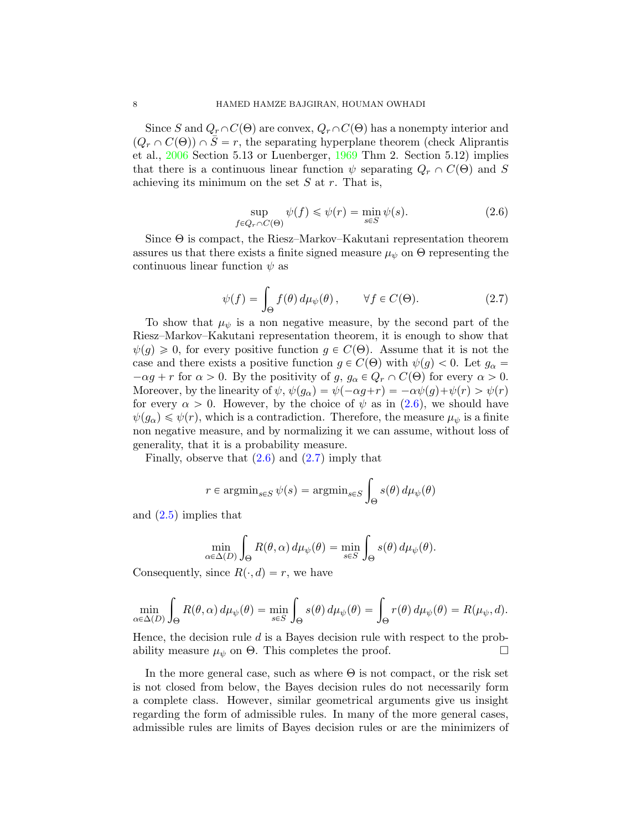Since S and  $Q_r \cap C(\Theta)$  are convex,  $Q_r \cap C(\Theta)$  has a nonempty interior and  $(Q_r \cap C(\Theta)) \cap \overline{S} = r$ , the separating hyperplane theorem (check Aliprantis et al., [2006](#page-20-0) Section 5.13 or Luenberger, [1969](#page-21-1) Thm 2. Section 5.12) implies that there is a continuous linear function  $\psi$  separating  $Q_r \cap C(\Theta)$  and S achieving its minimum on the set  $S$  at  $r$ . That is,

<span id="page-7-0"></span>
$$
\sup_{f \in Q_r \cap C(\Theta)} \psi(f) \leq \psi(r) = \min_{s \in S} \psi(s).
$$
\n(2.6)

Since Θ is compact, the Riesz–Markov–Kakutani representation theorem assures us that there exists a finite signed measure  $\mu_{\psi}$  on  $\Theta$  representing the continuous linear function  $\psi$  as

<span id="page-7-1"></span>
$$
\psi(f) = \int_{\Theta} f(\theta) \, d\mu_{\psi}(\theta), \qquad \forall f \in C(\Theta). \tag{2.7}
$$

To show that  $\mu_{\psi}$  is a non negative measure, by the second part of the Riesz–Markov–Kakutani representation theorem, it is enough to show that  $\psi(g) \geq 0$ , for every positive function  $g \in C(\Theta)$ . Assume that it is not the case and there exists a positive function  $g \in C(\Theta)$  with  $\psi(g) < 0$ . Let  $g_{\alpha} =$  $-\alpha g + r$  for  $\alpha > 0$ . By the positivity of  $g, g_{\alpha} \in Q_r \cap C(\Theta)$  for every  $\alpha > 0$ . Moreover, by the linearity of  $\psi$ ,  $\psi(g_{\alpha}) = \psi(-\alpha g + r) = -\alpha \psi(g) + \psi(r) > \psi(r)$ for every  $\alpha > 0$ . However, by the choice of  $\psi$  as in [\(2.6\)](#page-7-0), we should have  $\psi(g_{\alpha}) \leq \psi(r)$ , which is a contradiction. Therefore, the measure  $\mu_{\psi}$  is a finite non negative measure, and by normalizing it we can assume, without loss of generality, that it is a probability measure.

Finally, observe that  $(2.6)$  and  $(2.7)$  imply that

$$
r \in \operatorname{argmin}_{s \in S} \psi(s) = \operatorname{argmin}_{s \in S} \int_{\Theta} s(\theta) d\mu_{\psi}(\theta)
$$

and [\(2.5\)](#page-5-1) implies that

$$
\min_{\alpha \in \Delta(D)} \int_{\Theta} R(\theta, \alpha) d\mu_{\psi}(\theta) = \min_{s \in S} \int_{\Theta} s(\theta) d\mu_{\psi}(\theta).
$$

Consequently, since  $R(\cdot, d) = r$ , we have

$$
\min_{\alpha \in \Delta(D)} \int_{\Theta} R(\theta, \alpha) d\mu_{\psi}(\theta) = \min_{s \in S} \int_{\Theta} s(\theta) d\mu_{\psi}(\theta) = \int_{\Theta} r(\theta) d\mu_{\psi}(\theta) = R(\mu_{\psi}, d).
$$

Hence, the decision rule  $d$  is a Bayes decision rule with respect to the probability measure  $\mu_{\psi}$  on  $\Theta$ . This completes the proof.

In the more general case, such as where  $\Theta$  is not compact, or the risk set is not closed from below, the Bayes decision rules do not necessarily form a complete class. However, similar geometrical arguments give us insight regarding the form of admissible rules. In many of the more general cases, admissible rules are limits of Bayes decision rules or are the minimizers of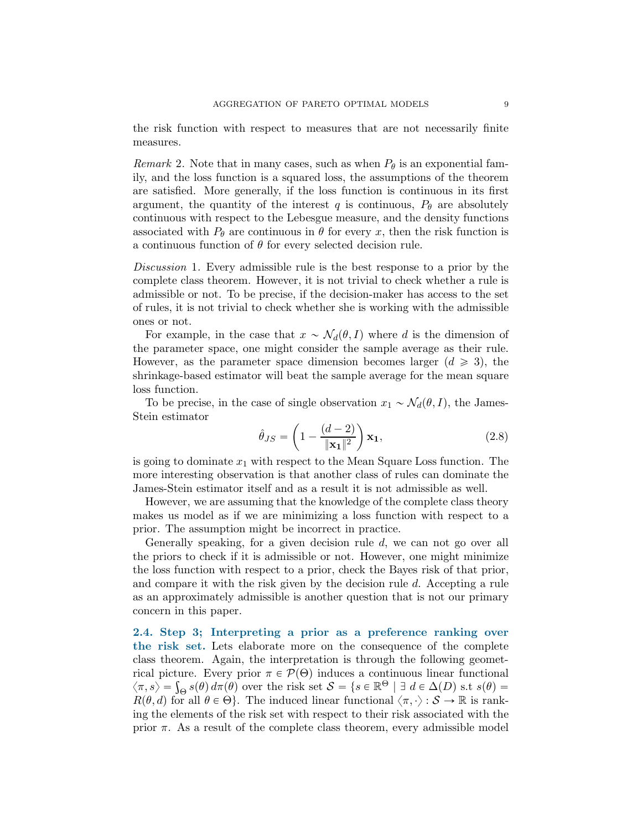the risk function with respect to measures that are not necessarily finite measures.

Remark 2. Note that in many cases, such as when  $P_{\theta}$  is an exponential family, and the loss function is a squared loss, the assumptions of the theorem are satisfied. More generally, if the loss function is continuous in its first argument, the quantity of the interest q is continuous,  $P_{\theta}$  are absolutely continuous with respect to the Lebesgue measure, and the density functions associated with  $P_{\theta}$  are continuous in  $\theta$  for every x, then the risk function is a continuous function of  $\theta$  for every selected decision rule.

Discussion 1. Every admissible rule is the best response to a prior by the complete class theorem. However, it is not trivial to check whether a rule is admissible or not. To be precise, if the decision-maker has access to the set of rules, it is not trivial to check whether she is working with the admissible ones or not.

For example, in the case that  $x \sim \mathcal{N}_d(\theta, I)$  where d is the dimension of the parameter space, one might consider the sample average as their rule. However, as the parameter space dimension becomes larger  $(d \geq 3)$ , the shrinkage-based estimator will beat the sample average for the mean square loss function.

To be precise, in the case of single observation  $x_1 \sim \mathcal{N}_d(\theta, I)$ , the James-Stein estimator

$$
\hat{\theta}_{JS} = \left(1 - \frac{(d-2)}{\|\mathbf{x}_1\|^2}\right) \mathbf{x}_1,\tag{2.8}
$$

is going to dominate  $x_1$  with respect to the Mean Square Loss function. The more interesting observation is that another class of rules can dominate the James-Stein estimator itself and as a result it is not admissible as well.

However, we are assuming that the knowledge of the complete class theory makes us model as if we are minimizing a loss function with respect to a prior. The assumption might be incorrect in practice.

Generally speaking, for a given decision rule d, we can not go over all the priors to check if it is admissible or not. However, one might minimize the loss function with respect to a prior, check the Bayes risk of that prior, and compare it with the risk given by the decision rule d. Accepting a rule as an approximately admissible is another question that is not our primary concern in this paper.

<span id="page-8-0"></span>2.4. Step 3; Interpreting a prior as a preference ranking over the risk set. Lets elaborate more on the consequence of the complete class theorem. Again, the interpretation is through the following geometrical picture. Every prior  $\pi \in \mathcal{P}(\Theta)$  induces a continuous linear functional  $\langle \pi, s \rangle = \int_{\Theta} s(\theta) d\pi(\theta)$  over the risk set  $S = \{s \in \mathbb{R}^{\Theta} \mid \exists d \in \Delta(D) \text{ s.t } s(\theta) = \emptyset\}$  $R(\theta, d)$  for all  $\theta \in \Theta$ . The induced linear functional  $\langle \pi, \cdot \rangle : \mathcal{S} \to \mathbb{R}$  is ranking the elements of the risk set with respect to their risk associated with the prior  $\pi$ . As a result of the complete class theorem, every admissible model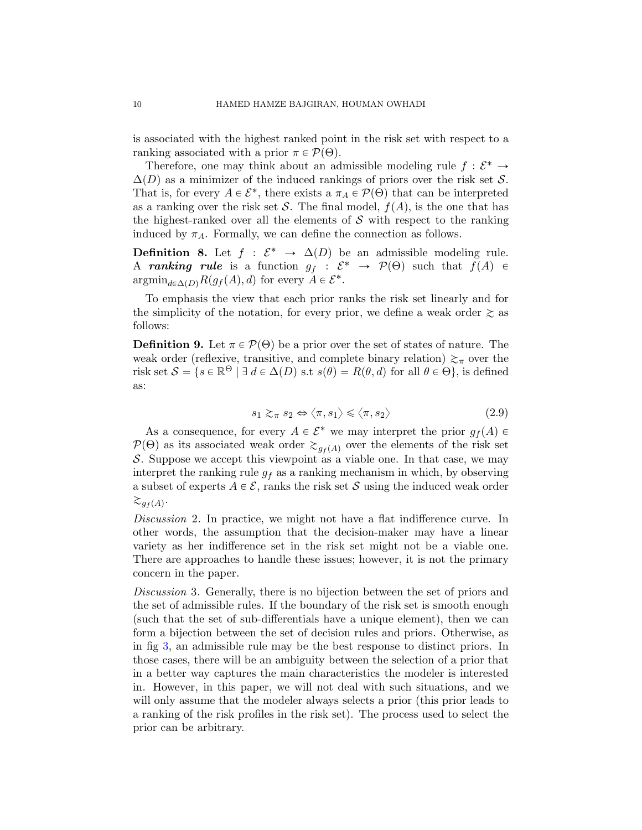is associated with the highest ranked point in the risk set with respect to a ranking associated with a prior  $\pi \in \mathcal{P}(\Theta)$ .

Therefore, one may think about an admissible modeling rule  $f: \mathcal{E}^* \to$  $\Delta(D)$  as a minimizer of the induced rankings of priors over the risk set S. That is, for every  $A \in \mathcal{E}^*$ , there exists a  $\pi_A \in \mathcal{P}(\Theta)$  that can be interpreted as a ranking over the risk set S. The final model,  $f(A)$ , is the one that has the highest-ranked over all the elements of  $\mathcal S$  with respect to the ranking induced by  $\pi_A$ . Formally, we can define the connection as follows.

**Definition 8.** Let  $f : \mathcal{E}^* \to \Delta(D)$  be an admissible modeling rule. A ranking rule is a function  $g_f : \mathcal{E}^* \to \mathcal{P}(\Theta)$  such that  $f(A) \in$  $\operatorname{argmin}_{d \in \Delta(D)} R(g_f(A), d)$  for every  $A \in \mathcal{E}^*$ .

To emphasis the view that each prior ranks the risk set linearly and for the simplicity of the notation, for every prior, we define a weak order  $\gtrsim$  as follows:

**Definition 9.** Let  $\pi \in \mathcal{P}(\Theta)$  be a prior over the set of states of nature. The weak order (reflexive, transitive, and complete binary relation)  $\gtrsim_{\pi}$  over the risk set  $S = \{ s \in \mathbb{R}^{\Theta} \mid \exists d \in \Delta(D) \text{ s.t } s(\theta) = R(\theta, d) \text{ for all } \theta \in \Theta \},\text{ is defined}$ as:

$$
s_1 \gtrsim_{\pi} s_2 \Leftrightarrow \langle \pi, s_1 \rangle \leq \langle \pi, s_2 \rangle \tag{2.9}
$$

As a consequence, for every  $A \in \mathcal{E}^*$  we may interpret the prior  $g_f(A) \in$  $P(\Theta)$  as its associated weak order  $\gtrsim_{q_f(A)}$  over the elements of the risk set S. Suppose we accept this viewpoint as a viable one. In that case, we may interpret the ranking rule  $q_f$  as a ranking mechanism in which, by observing a subset of experts  $A \in \mathcal{E}$ , ranks the risk set S using the induced weak order  $\gtrsim_{g_f(A)}$ .

Discussion 2. In practice, we might not have a flat indifference curve. In other words, the assumption that the decision-maker may have a linear variety as her indifference set in the risk set might not be a viable one. There are approaches to handle these issues; however, it is not the primary concern in the paper.

Discussion 3. Generally, there is no bijection between the set of priors and the set of admissible rules. If the boundary of the risk set is smooth enough (such that the set of sub-differentials have a unique element), then we can form a bijection between the set of decision rules and priors. Otherwise, as in fig [3,](#page-10-0) an admissible rule may be the best response to distinct priors. In those cases, there will be an ambiguity between the selection of a prior that in a better way captures the main characteristics the modeler is interested in. However, in this paper, we will not deal with such situations, and we will only assume that the modeler always selects a prior (this prior leads to a ranking of the risk profiles in the risk set). The process used to select the prior can be arbitrary.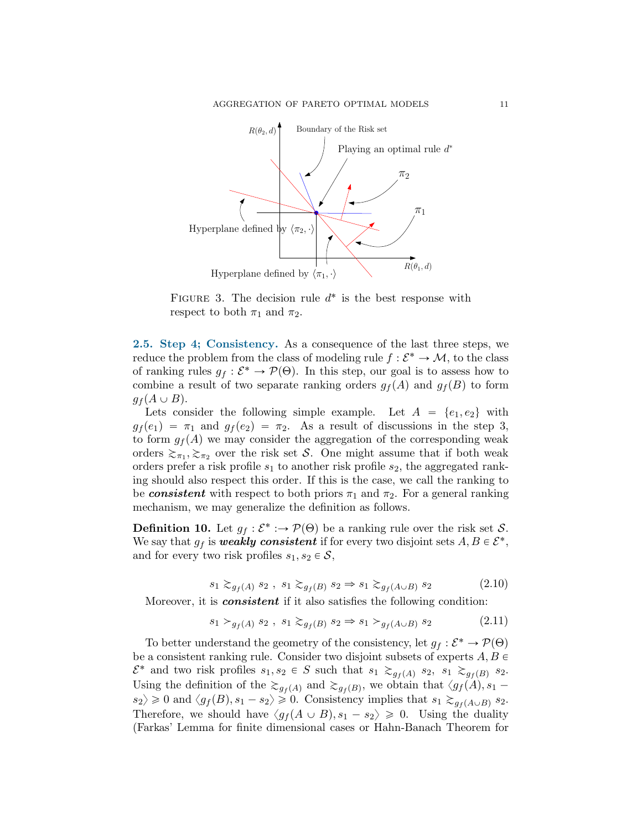<span id="page-10-0"></span>

FIGURE 3. The decision rule  $d^*$  is the best response with respect to both  $\pi_1$  and  $\pi_2$ .

<span id="page-10-2"></span>2.5. Step 4; Consistency. As a consequence of the last three steps, we reduce the problem from the class of modeling rule  $f: \mathcal{E}^* \to \mathcal{M}$ , to the class of ranking rules  $g_f : \mathcal{E}^* \to \mathcal{P}(\Theta)$ . In this step, our goal is to assess how to combine a result of two separate ranking orders  $g_f(A)$  and  $g_f(B)$  to form  $g_f(A \cup B)$ .

Lets consider the following simple example. Let  $A = \{e_1, e_2\}$  with  $g_f(e_1) = \pi_1$  and  $g_f(e_2) = \pi_2$ . As a result of discussions in the step 3, to form  $g_f(A)$  we may consider the aggregation of the corresponding weak orders  $\gtrsim_{\pi_1}, \gtrsim_{\pi_2}$  over the risk set S. One might assume that if both weak orders prefer a risk profile  $s_1$  to another risk profile  $s_2$ , the aggregated ranking should also respect this order. If this is the case, we call the ranking to be **consistent** with respect to both priors  $\pi_1$  and  $\pi_2$ . For a general ranking mechanism, we may generalize the definition as follows.

**Definition 10.** Let  $g_f : \mathcal{E}^* : \to \mathcal{P}(\Theta)$  be a ranking rule over the risk set S. We say that  $g_f$  is weakly consistent if for every two disjoint sets  $A, B \in \mathcal{E}^*$ , and for every two risk profiles  $s_1, s_2 \in \mathcal{S}$ ,

$$
s_1 \gtrsim_{g_f(A)} s_2, \ s_1 \gtrsim_{g_f(B)} s_2 \Rightarrow s_1 \gtrsim_{g_f(A \cup B)} s_2 \tag{2.10}
$$

Moreover, it is *consistent* if it also satisfies the following condition:

<span id="page-10-1"></span>
$$
s_1 >_{g_f(A)} s_2, \ s_1 \gtrsim_{g_f(B)} s_2 \Rightarrow s_1 >_{g_f(A \cup B)} s_2 \tag{2.11}
$$

To better understand the geometry of the consistency, let  $g_f : \mathcal{E}^* \to \mathcal{P}(\Theta)$ be a consistent ranking rule. Consider two disjoint subsets of experts  $A, B \in$  $\mathcal{E}^*$  and two risk profiles  $s_1, s_2 \in S$  such that  $s_1 \gtrsim_{g_f(A)} s_2$ ,  $s_1 \gtrsim_{g_f(B)} s_2$ . Using the definition of the  $\gtrsim_{g_f(A)}$  and  $\gtrsim_{g_f(B)}$ , we obtain that  $\langle g_f(A), s_1$  $s_2 \geq 0$  and  $\langle g_f(B), s_1 - s_2 \rangle \geq 0$ . Consistency implies that  $s_1 \gtrsim_{g_f(A \cup B)} s_2$ . Therefore, we should have  $\langle g_f(A \cup B), s_1 - s_2 \rangle \geq 0$ . Using the duality (Farkas' Lemma for finite dimensional cases or Hahn-Banach Theorem for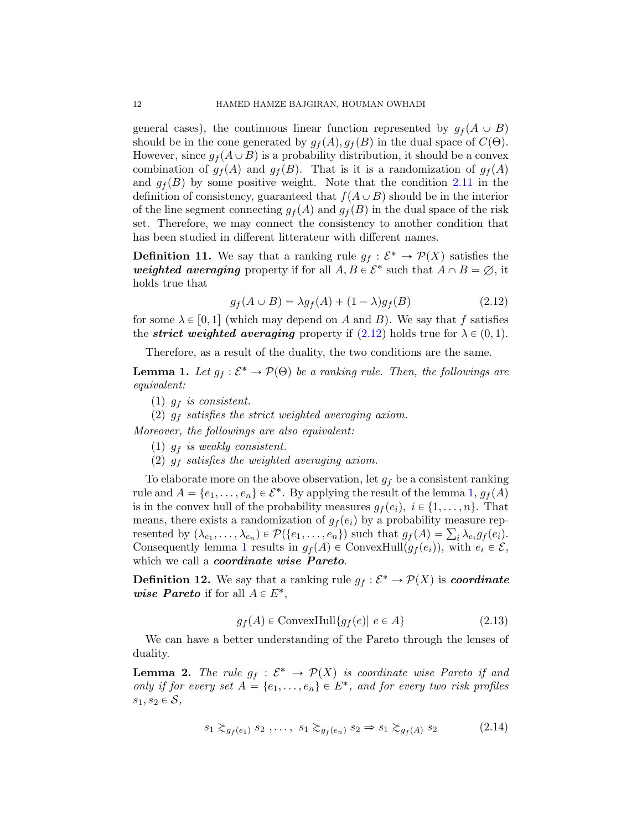general cases), the continuous linear function represented by  $g_f(A \cup B)$ should be in the cone generated by  $g_f(A), g_f(B)$  in the dual space of  $C(\Theta)$ . However, since  $g_f(A \cup B)$  is a probability distribution, it should be a convex combination of  $g_f(A)$  and  $g_f(B)$ . That is it is a randomization of  $g_f(A)$ and  $g_f(B)$  by some positive weight. Note that the condition [2.11](#page-10-1) in the definition of consistency, guaranteed that  $f(A \cup B)$  should be in the interior of the line segment connecting  $g_f(A)$  and  $g_f(B)$  in the dual space of the risk set. Therefore, we may connect the consistency to another condition that has been studied in different litterateur with different names.

**Definition 11.** We say that a ranking rule  $g_f : \mathcal{E}^* \to \mathcal{P}(X)$  satisfies the weighted averaging property if for all  $A, B \in \mathcal{E}^*$  such that  $A \cap B = \emptyset$ , it holds true that

<span id="page-11-0"></span>
$$
g_f(A \cup B) = \lambda g_f(A) + (1 - \lambda) g_f(B) \tag{2.12}
$$

for some  $\lambda \in [0, 1]$  (which may depend on A and B). We say that f satisfies the *strict weighted averaging* property if  $(2.12)$  holds true for  $\lambda \in (0, 1)$ .

Therefore, as a result of the duality, the two conditions are the same.

<span id="page-11-1"></span>**Lemma 1.** Let  $g_f : \mathcal{E}^* \to \mathcal{P}(\Theta)$  be a ranking rule. Then, the followings are equivalent:

- (1)  $g_f$  is consistent.
- (2)  $g_f$  satisfies the strict weighted averaging axiom.

Moreover, the followings are also equivalent:

- (1)  $g_f$  is weakly consistent.
- (2)  $g_f$  satisfies the weighted averaging axiom.

To elaborate more on the above observation, let  $g_f$  be a consistent ranking rule and  $A = \{e_1, \ldots, e_n\} \in \mathcal{E}^*$  $A = \{e_1, \ldots, e_n\} \in \mathcal{E}^*$  $A = \{e_1, \ldots, e_n\} \in \mathcal{E}^*$ . By applying the result of the lemma 1,  $g_f(A)$ is in the convex hull of the probability measures  $g_f(e_i), i \in \{1, \ldots, n\}$ . That means, there exists a randomization of  $g_f(e_i)$  by a probability measure represented by  $(\lambda_{e_1}, \ldots, \lambda_{e_n}) \in \mathcal{P}(\{e_1, \ldots, e_n\})$  such that  $g_f(A) = \sum_i \lambda_{e_i} g_f(e_i)$ . Consequently lemma [1](#page-11-1) results in  $g_f(A) \in \text{ConvexHull}(g_f(e_i))$ , with  $e_i \in \mathcal{E}$ , which we call a *coordinate* wise **Pareto**.

**Definition 12.** We say that a ranking rule  $g_f : \mathcal{E}^* \to \mathcal{P}(X)$  is *coordinate* wise Pareto if for all  $A \in E^*$ ,

$$
g_f(A) \in \text{ConvexHull}\{g_f(e) | e \in A\} \tag{2.13}
$$

We can have a better understanding of the Pareto through the lenses of duality.

**Lemma 2.** The rule  $g_f : \mathcal{E}^* \to \mathcal{P}(X)$  is coordinate wise Pareto if and only if for every set  $A = \{e_1, \ldots, e_n\} \in E^*$ , and for every two risk profiles  $s_1, s_2 \in \mathcal{S}$ ,

$$
s_1 \gtrsim_{g_f(e_1)} s_2 \ldots, \ s_1 \gtrsim_{g_f(e_n)} s_2 \Rightarrow s_1 \gtrsim_{g_f(A)} s_2 \tag{2.14}
$$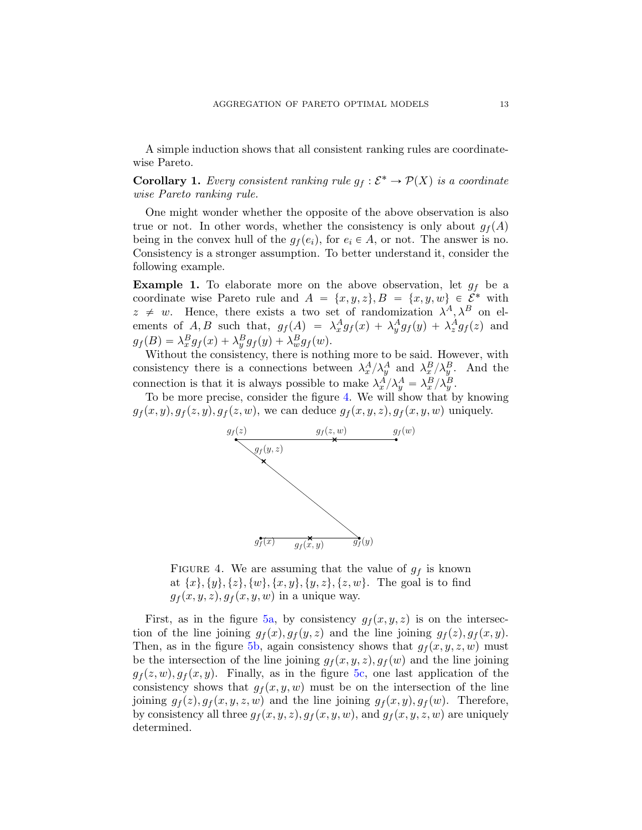A simple induction shows that all consistent ranking rules are coordinatewise Pareto.

**Corollary 1.** Every consistent ranking rule  $g_f : \mathcal{E}^* \to \mathcal{P}(X)$  is a coordinate wise Pareto ranking rule.

One might wonder whether the opposite of the above observation is also true or not. In other words, whether the consistency is only about  $g_f(A)$ being in the convex hull of the  $g_f(e_i)$ , for  $e_i \in A$ , or not. The answer is no. Consistency is a stronger assumption. To better understand it, consider the following example.

<span id="page-12-1"></span>**Example 1.** To elaborate more on the above observation, let  $g_f$  be a coordinate wise Pareto rule and  $A = \{x, y, z\}, B = \{x, y, w\} \in \mathcal{E}^*$  with  $z \neq w$ . Hence, there exists a two set of randomization  $\lambda^A, \lambda^B$  on elements of A, B such that,  $g_f(A) = \lambda_x^A g_f(x) + \lambda_y^A g_f(y) + \lambda_z^A g_f(z)$  and  $g_f(B) = \lambda_x^B g_f(x) + \lambda_y^B g_f(y) + \lambda_w^B g_f(w).$ 

Without the consistency, there is nothing more to be said. However, with consistency there is a connections between  $\lambda_x^A/\lambda_y^A$  and  $\lambda_x^B/\lambda_y^B$ . And the connection is that it is always possible to make  $\lambda_x^A / \lambda_y^A = \lambda_x^B / \lambda_y^B$ .

<span id="page-12-0"></span>To be more precise, consider the figure [4.](#page-12-0) We will show that by knowing  $g_f(x, y), g_f(z, y), g_f(z, w)$ , we can deduce  $g_f(x, y, z), g_f(x, y, w)$  uniquely.



FIGURE 4. We are assuming that the value of  $g_f$  is known at  $\{x\}, \{y\}, \{z\}, \{w\}, \{x, y\}, \{y, z\}, \{z, w\}.$  The goal is to find  $g_f(x, y, z), g_f(x, y, w)$  in a unique way.

First, as in the figure [5a,](#page-13-0) by consistency  $g_f(x, y, z)$  is on the intersection of the line joining  $g_f(x), g_f(y, z)$  and the line joining  $g_f(z), g_f(x, y)$ . Then, as in the figure [5b,](#page-13-1) again consistency shows that  $g_f(x, y, z, w)$  must be the intersection of the line joining  $g_f(x, y, z), g_f(w)$  and the line joining  $g_f(z, w), g_f(x, y)$ . Finally, as in the figure [5c,](#page-13-2) one last application of the consistency shows that  $g_f(x, y, w)$  must be on the intersection of the line joining  $g_f(z), g_f(x, y, z, w)$  and the line joining  $g_f(x, y), g_f(w)$ . Therefore, by consistency all three  $g_f(x, y, z), g_f(x, y, w)$ , and  $g_f(x, y, z, w)$  are uniquely determined.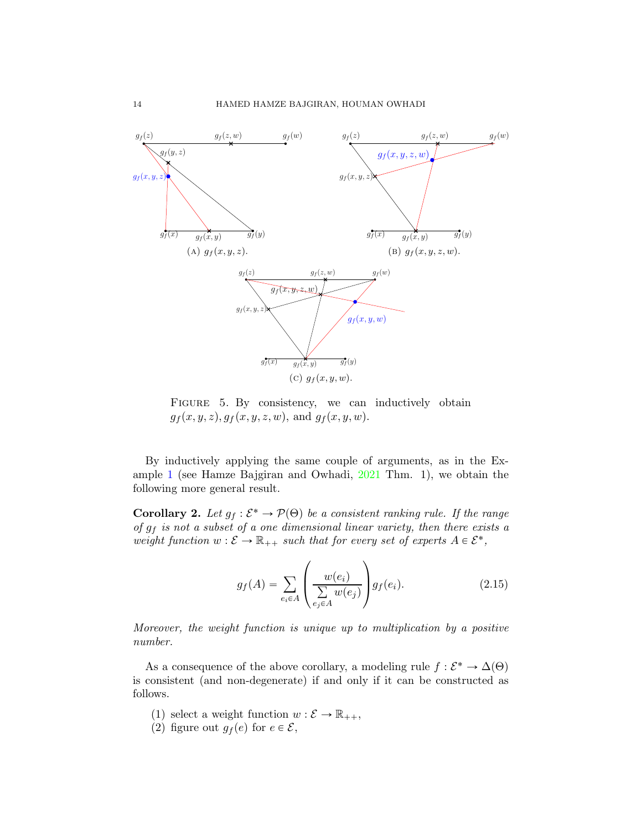<span id="page-13-2"></span><span id="page-13-0"></span>

<span id="page-13-1"></span>FIGURE 5. By consistency, we can inductively obtain  $g_f(x, y, z), g_f(x, y, z, w),$  and  $g_f(x, y, w)$ .

By inductively applying the same couple of arguments, as in the Example [1](#page-12-1) (see Hamze Bajgiran and Owhadi, [2021](#page-21-0) Thm. 1), we obtain the following more general result.

<span id="page-13-3"></span>**Corollary 2.** Let  $g_f : \mathcal{E}^* \to \mathcal{P}(\Theta)$  be a consistent ranking rule. If the range of  $g_f$  is not a subset of a one dimensional linear variety, then there exists a weight function  $w : \mathcal{E} \to \mathbb{R}_{++}$  such that for every set of experts  $A \in \mathcal{E}^*$ ,

$$
g_f(A) = \sum_{e_i \in A} \left( \frac{w(e_i)}{\sum\limits_{e_j \in A} w(e_j)} \right) g_f(e_i). \tag{2.15}
$$

Moreover, the weight function is unique up to multiplication by a positive number.

As a consequence of the above corollary, a modeling rule  $f : \mathcal{E}^* \to \Delta(\Theta)$ is consistent (and non-degenerate) if and only if it can be constructed as follows.

- (1) select a weight function  $w : \mathcal{E} \to \mathbb{R}_{++}$ ,
- (2) figure out  $g_f(e)$  for  $e \in \mathcal{E}$ ,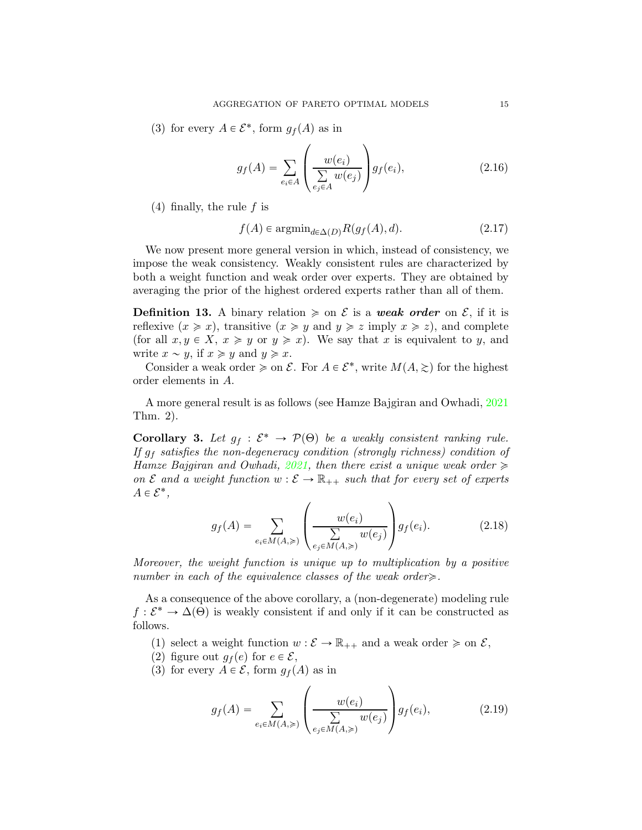(3) for every  $A \in \mathcal{E}^*$ , form  $g_f(A)$  as in

$$
g_f(A) = \sum_{e_i \in A} \left( \frac{w(e_i)}{\sum\limits_{e_j \in A} w(e_j)} \right) g_f(e_i), \tag{2.16}
$$

 $(4)$  finally, the rule f is

$$
f(A) \in \operatorname{argmin}_{d \in \Delta(D)} R(g_f(A), d). \tag{2.17}
$$

We now present more general version in which, instead of consistency, we impose the weak consistency. Weakly consistent rules are characterized by both a weight function and weak order over experts. They are obtained by averaging the prior of the highest ordered experts rather than all of them.

**Definition 13.** A binary relation  $\geq$  on  $\mathcal E$  is a weak order on  $\mathcal E$ , if it is reflexive  $(x \geq x)$ , transitive  $(x \geq y$  and  $y \geq z$  imply  $x \geq z$ ), and complete (for all  $x, y \in X$ ,  $x \geq y$  or  $y \geq x$ ). We say that x is equivalent to y, and write  $x \sim y$ , if  $x \geq y$  and  $y \geq x$ .

Consider a weak order  $\geq$  on  $\mathcal{E}$ . For  $A \in \mathcal{E}^*$ , write  $M(A, \geq)$  for the highest order elements in A.

A more general result is as follows (see Hamze Bajgiran and Owhadi, [2021](#page-21-0) Thm. 2).

**Corollary 3.** Let  $g_f : \mathcal{E}^* \to \mathcal{P}(\Theta)$  be a weakly consistent ranking rule. If  $g_f$  satisfies the non-degeneracy condition (strongly richness) condition of Hamze Bajgiran and Owhadi, [2021](#page-21-0), then there exist a unique weak order  $\geq$ on  $\mathcal E$  and a weight function  $w : \mathcal E \to \mathbb R_{++}$  such that for every set of experts  $A \in \mathcal{E}^*,$ 

$$
g_f(A) = \sum_{e_i \in M(A, \geqslant)} \left( \frac{w(e_i)}{\sum\limits_{e_j \in M(A, \geqslant)}} w(e_j) \right) g_f(e_i). \tag{2.18}
$$

Moreover, the weight function is unique up to multiplication by a positive number in each of the equivalence classes of the weak order $\geq$ .

As a consequence of the above corollary, a (non-degenerate) modeling rule  $f: \mathcal{E}^* \to \Delta(\Theta)$  is weakly consistent if and only if it can be constructed as follows.

- (1) select a weight function  $w : \mathcal{E} \to \mathbb{R}_{++}$  and a weak order  $\geq$  on  $\mathcal{E}$ ,
- (2) figure out  $g_f(e)$  for  $e \in \mathcal{E}$ ,
- (3) for every  $A \in \mathcal{E}$ , form  $g_f(A)$  as in

<span id="page-14-0"></span>
$$
g_f(A) = \sum_{e_i \in M(A, \geqslant)} \left( \frac{w(e_i)}{\sum\limits_{e_j \in M(A, \geqslant)}} w(e_j) \right) g_f(e_i), \tag{2.19}
$$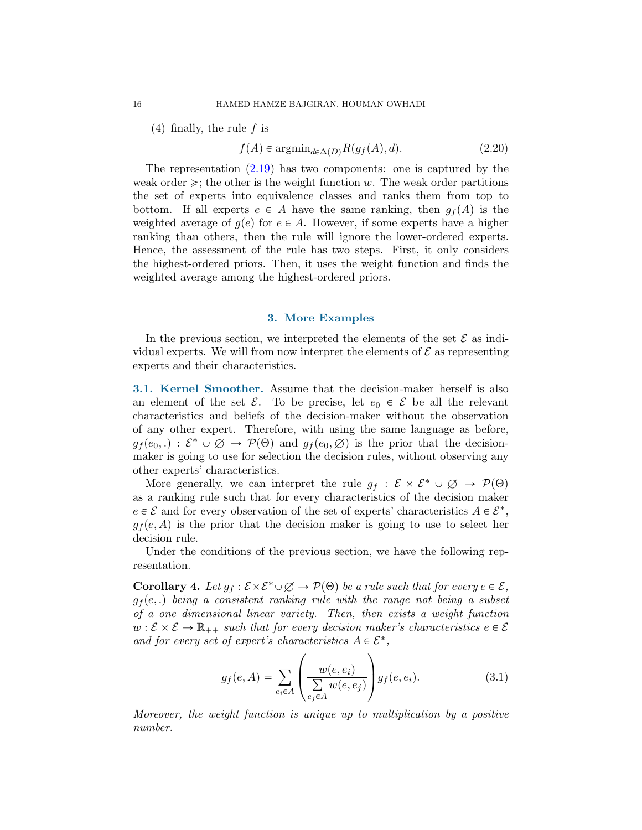$(4)$  finally, the rule f is

$$
f(A) \in \operatorname{argmin}_{d \in \Delta(D)} R(g_f(A), d). \tag{2.20}
$$

The representation  $(2.19)$  has two components: one is captured by the weak order  $\geq$ ; the other is the weight function w. The weak order partitions the set of experts into equivalence classes and ranks them from top to bottom. If all experts  $e \in A$  have the same ranking, then  $g_f(A)$  is the weighted average of  $q(e)$  for  $e \in A$ . However, if some experts have a higher ranking than others, then the rule will ignore the lower-ordered experts. Hence, the assessment of the rule has two steps. First, it only considers the highest-ordered priors. Then, it uses the weight function and finds the weighted average among the highest-ordered priors.

#### 3. More Examples

<span id="page-15-0"></span>In the previous section, we interpreted the elements of the set  $\mathcal E$  as individual experts. We will from now interpret the elements of  $\mathcal E$  as representing experts and their characteristics.

3.1. Kernel Smoother. Assume that the decision-maker herself is also an element of the set  $\mathcal{E}$ . To be precise, let  $e_0 \in \mathcal{E}$  be all the relevant characteristics and beliefs of the decision-maker without the observation of any other expert. Therefore, with using the same language as before,  $g_f(e_0,.) : \mathcal{E}^* \cup \emptyset \to \mathcal{P}(\Theta)$  and  $g_f(e_0, \emptyset)$  is the prior that the decisionmaker is going to use for selection the decision rules, without observing any other experts' characteristics.

More generally, we can interpret the rule  $g_f : \mathcal{E} \times \mathcal{E}^* \cup \emptyset \rightarrow \mathcal{P}(\Theta)$ as a ranking rule such that for every characteristics of the decision maker  $e \in \mathcal{E}$  and for every observation of the set of experts' characteristics  $A \in \mathcal{E}^*$ ,  $g_f(e, A)$  is the prior that the decision maker is going to use to select her decision rule.

Under the conditions of the previous section, we have the following representation.

**Corollary 4.** Let  $g_f : \mathcal{E} \times \mathcal{E}^* \cup \emptyset \to \mathcal{P}(\Theta)$  be a rule such that for every  $e \in \mathcal{E}$ ,  $g_f(e,.)$  being a consistent ranking rule with the range not being a subset of a one dimensional linear variety. Then, then exists a weight function  $w : \mathcal{E} \times \mathcal{E} \to \mathbb{R}_{++}$  such that for every decision maker's characteristics  $e \in \mathcal{E}$ and for every set of expert's characteristics  $A \in \mathcal{E}^*$ ,

$$
g_f(e, A) = \sum_{e_i \in A} \left( \frac{w(e, e_i)}{\sum\limits_{e_j \in A} w(e, e_j)} \right) g_f(e, e_i).
$$
 (3.1)

Moreover, the weight function is unique up to multiplication by a positive number.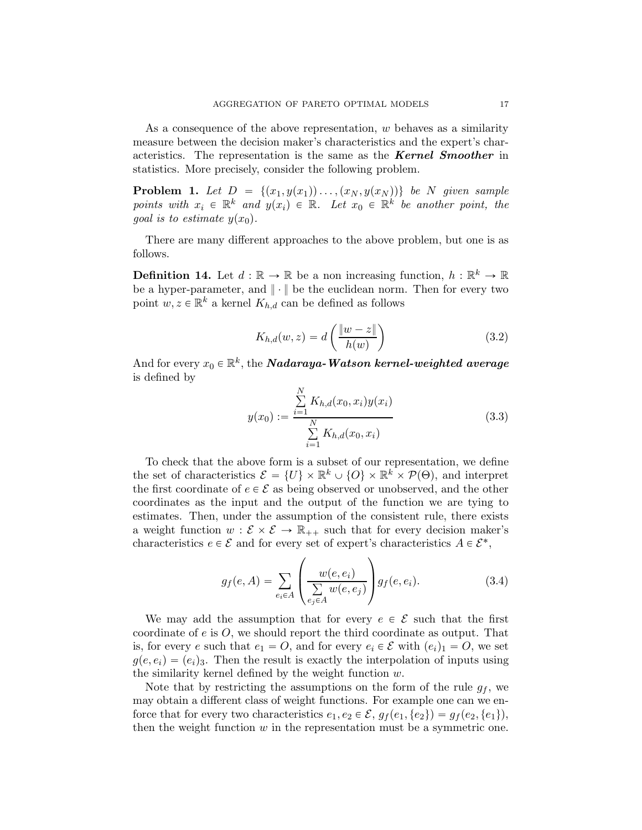As a consequence of the above representation, w behaves as a similarity measure between the decision maker's characteristics and the expert's characteristics. The representation is the same as the Kernel Smoother in statistics. More precisely, consider the following problem.

**Problem 1.** Let  $D = \{(x_1, y(x_1)) \dots, (x_N, y(x_N))\}$  be N given sample points with  $x_i \in \mathbb{R}^k$  and  $y(x_i) \in \mathbb{R}$ . Let  $x_0 \in \mathbb{R}^k$  be another point, the goal is to estimate  $y(x_0)$ .

There are many different approaches to the above problem, but one is as follows.

**Definition 14.** Let  $d : \mathbb{R} \to \mathbb{R}$  be a non increasing function,  $h : \mathbb{R}^k \to \mathbb{R}$ be a hyper-parameter, and  $\|\cdot\|$  be the euclidean norm. Then for every two point  $w, z \in \mathbb{R}^k$  a kernel  $K_{h,d}$  can be defined as follows

$$
K_{h,d}(w,z) = d\left(\frac{\|w-z\|}{h(w)}\right) \tag{3.2}
$$

And for every  $x_0 \in \mathbb{R}^k,$  the  $\boldsymbol{N}$ adaraya-Watson kernel-weighted average is defined by

$$
y(x_0) := \frac{\sum_{i=1}^{N} K_{h,d}(x_0, x_i) y(x_i)}{\sum_{i=1}^{N} K_{h,d}(x_0, x_i)}
$$
(3.3)

To check that the above form is a subset of our representation, we define the set of characteristics  $\mathcal{E} = \{U\} \times \mathbb{R}^k \cup \{O\} \times \mathbb{R}^k \times \mathcal{P}(\Theta)$ , and interpret the first coordinate of  $e \in \mathcal{E}$  as being observed or unobserved, and the other coordinates as the input and the output of the function we are tying to estimates. Then, under the assumption of the consistent rule, there exists a weight function  $w : \mathcal{E} \times \mathcal{E} \to \mathbb{R}_{++}$  such that for every decision maker's characteristics  $e \in \mathcal{E}$  and for every set of expert's characteristics  $A \in \mathcal{E}^*$ ,

$$
g_f(e, A) = \sum_{e_i \in A} \left( \frac{w(e, e_i)}{\sum\limits_{e_j \in A} w(e, e_j)} \right) g_f(e, e_i). \tag{3.4}
$$

We may add the assumption that for every  $e \in \mathcal{E}$  such that the first coordinate of  $e$  is  $O$ , we should report the third coordinate as output. That is, for every e such that  $e_1 = O$ , and for every  $e_i \in \mathcal{E}$  with  $(e_i)_1 = O$ , we set  $g(e, e_i) = (e_i)_3$ . Then the result is exactly the interpolation of inputs using the similarity kernel defined by the weight function  $w$ .

Note that by restricting the assumptions on the form of the rule  $g_f$ , we may obtain a different class of weight functions. For example one can we enforce that for every two characteristics  $e_1, e_2 \in \mathcal{E}, g_f(e_1, \{e_2\}) = g_f(e_2, \{e_1\}),$ then the weight function  $w$  in the representation must be a symmetric one.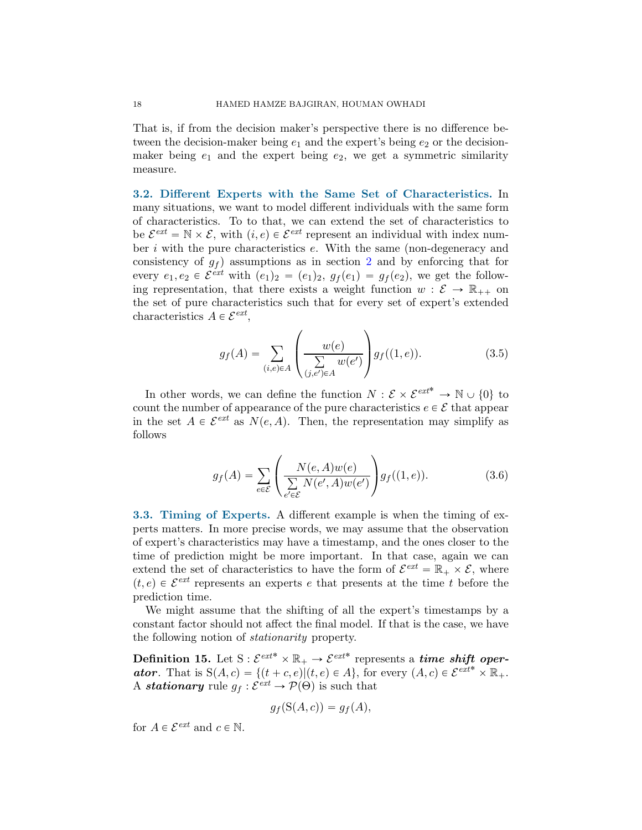That is, if from the decision maker's perspective there is no difference between the decision-maker being  $e_1$  and the expert's being  $e_2$  or the decisionmaker being  $e_1$  and the expert being  $e_2$ , we get a symmetric similarity measure.

3.2. Different Experts with the Same Set of Characteristics. In many situations, we want to model different individuals with the same form of characteristics. To to that, we can extend the set of characteristics to be  $\mathcal{E}^{ext} = \mathbb{N} \times \mathcal{E}$ , with  $(i, e) \in \mathcal{E}^{ext}$  represent an individual with index number  $i$  with the pure characteristics  $e$ . With the same (non-degeneracy and consistency of  $g_f$  assumptions as in section [2](#page-2-0) and by enforcing that for every  $e_1, e_2 \in \mathcal{E}^{ext}$  with  $(e_1)_2 = (e_1)_2, g_f(e_1) = g_f(e_2)$ , we get the following representation, that there exists a weight function  $w : \mathcal{E} \to \mathbb{R}_{++}$  on the set of pure characteristics such that for every set of expert's extended characteristics  $A \in \mathcal{E}^{ext}$ ,

$$
g_f(A) = \sum_{(i,e)\in A} \left( \frac{w(e)}{\sum\limits_{(j,e')\in A} w(e')} \right) g_f((1,e)). \tag{3.5}
$$

In other words, we can define the function  $N: \mathcal{E} \times \mathcal{E}^{ext^*} \to \mathbb{N} \cup \{0\}$  to count the number of appearance of the pure characteristics  $e \in \mathcal{E}$  that appear in the set  $A \in \mathcal{E}^{ext}$  as  $N(e, A)$ . Then, the representation may simplify as follows

$$
g_f(A) = \sum_{e \in \mathcal{E}} \left( \frac{N(e, A)w(e)}{\sum\limits_{e' \in \mathcal{E}} N(e', A)w(e')} \right) g_f((1, e)). \tag{3.6}
$$

3.3. Timing of Experts. A different example is when the timing of experts matters. In more precise words, we may assume that the observation of expert's characteristics may have a timestamp, and the ones closer to the time of prediction might be more important. In that case, again we can extend the set of characteristics to have the form of  $\mathcal{E}^{ext} = \mathbb{R}_+ \times \mathcal{E}$ , where  $(t, e) \in \mathcal{E}^{ext}$  represents an experts e that presents at the time t before the prediction time.

We might assume that the shifting of all the expert's timestamps by a constant factor should not affect the final model. If that is the case, we have the following notion of stationarity property.

Definition 15. Let  $S: \mathcal{E}^{ext^*} \times \mathbb{R}_+ \to \mathcal{E}^{ext^*}$  represents a *time shift oper***ator.** That is  $S(A, c) = \{(t + c, e) | (t, e) \in A\}$ , for every  $(A, c) \in \mathcal{E}^{ext*} \times \mathbb{R}_+$ . A **stationary** rule  $g_f : \mathcal{E}^{ext} \to \mathcal{P}(\Theta)$  is such that

$$
g_f(\mathcal{S}(A,c)) = g_f(A),
$$

for  $A \in \mathcal{E}^{ext}$  and  $c \in \mathbb{N}$ .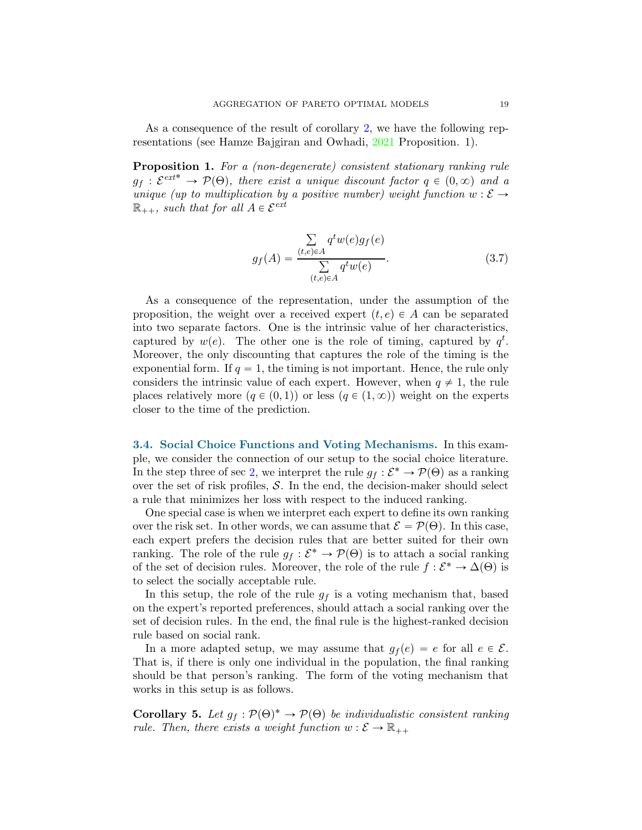As a consequence of the result of corollary [2,](#page-13-3) we have the following representations (see Hamze Bajgiran and Owhadi, [2021](#page-21-0) Proposition. 1).

Proposition 1. For a (non-degenerate) consistent stationary ranking rule  $g_f : \mathcal{E}^{ext^*} \to \mathcal{P}(\Theta)$ , there exist a unique discount factor  $q \in (0, \infty)$  and a unique (up to multiplication by a positive number) weight function  $w : \mathcal{E} \rightarrow$  $\mathbb{R}_{++}$ , such that for all  $A \in \mathcal{E}^{ext}$ 

$$
g_f(A) = \frac{\sum\limits_{(t,e)\in A} q^t w(e) g_f(e)}{\sum\limits_{(t,e)\in A} q^t w(e)}.
$$
\n(3.7)

As a consequence of the representation, under the assumption of the proposition, the weight over a received expert  $(t, e) \in A$  can be separated into two separate factors. One is the intrinsic value of her characteristics, captured by  $w(e)$ . The other one is the role of timing, captured by  $q^t$ . Moreover, the only discounting that captures the role of the timing is the exponential form. If  $q = 1$ , the timing is not important. Hence, the rule only considers the intrinsic value of each expert. However, when  $q \neq 1$ , the rule places relatively more  $(q \in (0, 1))$  or less  $(q \in (1, \infty))$  weight on the experts closer to the time of the prediction.

3.4. Social Choice Functions and Voting Mechanisms. In this example, we consider the connection of our setup to the social choice literature. In the step three of sec [2,](#page-2-0) we interpret the rule  $g_f : \mathcal{E}^* \to \mathcal{P}(\Theta)$  as a ranking over the set of risk profiles,  $S$ . In the end, the decision-maker should select a rule that minimizes her loss with respect to the induced ranking.

One special case is when we interpret each expert to define its own ranking over the risk set. In other words, we can assume that  $\mathcal{E} = \mathcal{P}(\Theta)$ . In this case, each expert prefers the decision rules that are better suited for their own ranking. The role of the rule  $g_f : \mathcal{E}^* \to \mathcal{P}(\Theta)$  is to attach a social ranking of the set of decision rules. Moreover, the role of the rule  $f : \mathcal{E}^* \to \Delta(\Theta)$  is to select the socially acceptable rule.

In this setup, the role of the rule  $g_f$  is a voting mechanism that, based on the expert's reported preferences, should attach a social ranking over the set of decision rules. In the end, the final rule is the highest-ranked decision rule based on social rank.

In a more adapted setup, we may assume that  $g_f(e) = e$  for all  $e \in \mathcal{E}$ . That is, if there is only one individual in the population, the final ranking should be that person's ranking. The form of the voting mechanism that works in this setup is as follows.

**Corollary 5.** Let  $g_f : \mathcal{P}(\Theta)^* \to \mathcal{P}(\Theta)$  be individualistic consistent ranking rule. Then, there exists a weight function  $w : \mathcal{E} \to \mathbb{R}_{++}$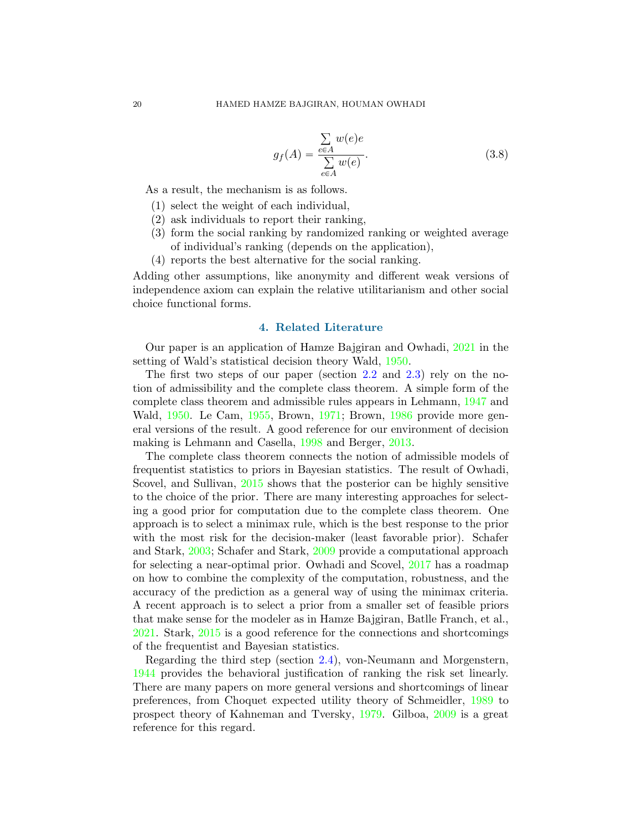$$
g_f(A) = \frac{\sum_{e \in A} w(e)e}{\sum_{e \in A} w(e)}.
$$
 (3.8)

As a result, the mechanism is as follows.

- (1) select the weight of each individual,
- (2) ask individuals to report their ranking,
- (3) form the social ranking by randomized ranking or weighted average of individual's ranking (depends on the application),
- (4) reports the best alternative for the social ranking.

Adding other assumptions, like anonymity and different weak versions of independence axiom can explain the relative utilitarianism and other social choice functional forms.

# 4. Related Literature

Our paper is an application of Hamze Bajgiran and Owhadi, [2021](#page-21-0) in the setting of Wald's statistical decision theory Wald, [1950](#page-22-1).

The first two steps of our paper (section [2.2](#page-3-1) and [2.3\)](#page-4-1) rely on the notion of admissibility and the complete class theorem. A simple form of the complete class theorem and admissible rules appears in Lehmann, [1947](#page-21-2) and Wald, [1950.](#page-22-1) Le Cam, [1955](#page-21-3), Brown, [1971;](#page-20-1) Brown, [1986](#page-21-4) provide more general versions of the result. A good reference for our environment of decision making is Lehmann and Casella, [1998](#page-21-5) and Berger, [2013](#page-20-2).

The complete class theorem connects the notion of admissible models of frequentist statistics to priors in Bayesian statistics. The result of Owhadi, Scovel, and Sullivan, [2015](#page-21-6) shows that the posterior can be highly sensitive to the choice of the prior. There are many interesting approaches for selecting a good prior for computation due to the complete class theorem. One approach is to select a minimax rule, which is the best response to the prior with the most risk for the decision-maker (least favorable prior). Schafer and Stark, [2003](#page-22-2); Schafer and Stark, [2009](#page-22-3) provide a computational approach for selecting a near-optimal prior. Owhadi and Scovel, [2017](#page-21-7) has a roadmap on how to combine the complexity of the computation, robustness, and the accuracy of the prediction as a general way of using the minimax criteria. A recent approach is to select a prior from a smaller set of feasible priors that make sense for the modeler as in Hamze Bajgiran, Batlle Franch, et al., [2021](#page-21-8). Stark, [2015](#page-22-4) is a good reference for the connections and shortcomings of the frequentist and Bayesian statistics.

Regarding the third step (section [2.4\)](#page-8-0), von-Neumann and Morgenstern, [1944](#page-22-5) provides the behavioral justification of ranking the risk set linearly. There are many papers on more general versions and shortcomings of linear preferences, from Choquet expected utility theory of Schmeidler, [1989](#page-22-6) to prospect theory of Kahneman and Tversky, [1979](#page-21-9). Gilboa, [2009](#page-21-10) is a great reference for this regard.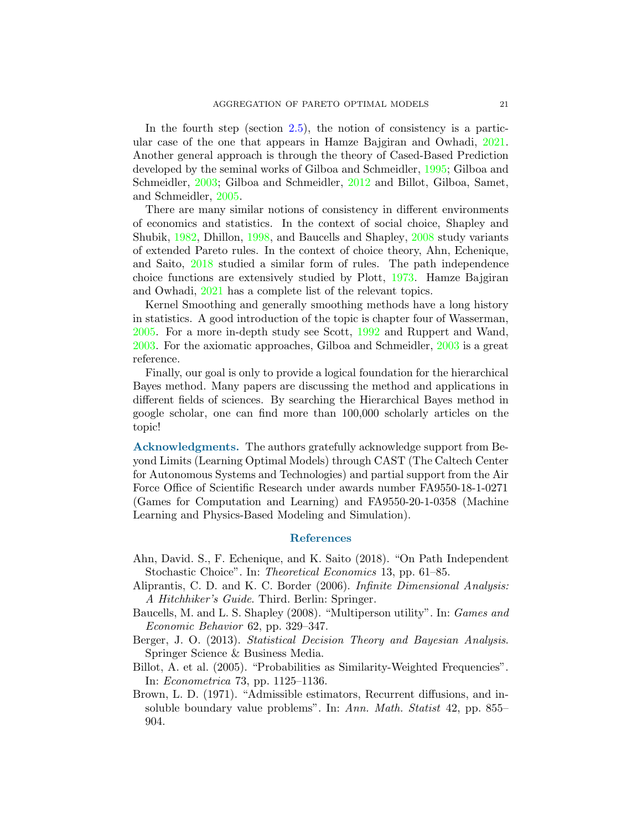In the fourth step (section  $(2.5)$  $(2.5)$ , the notion of consistency is a particular case of the one that appears in Hamze Bajgiran and Owhadi, [2021](#page-21-0). Another general approach is through the theory of Cased-Based Prediction developed by the seminal works of Gilboa and Schmeidler, [1995](#page-21-11); Gilboa and Schmeidler, [2003](#page-21-12); Gilboa and Schmeidler, [2012](#page-21-13) and Billot, Gilboa, Samet, and Schmeidler, [2005](#page-20-3).

There are many similar notions of consistency in different environments of economics and statistics. In the context of social choice, Shapley and Shubik, [1982,](#page-22-7) Dhillon, [1998](#page-21-14), and Baucells and Shapley, [2008](#page-20-4) study variants of extended Pareto rules. In the context of choice theory, Ahn, Echenique, and Saito, [2018](#page-20-5) studied a similar form of rules. The path independence choice functions are extensively studied by Plott, [1973](#page-21-15). Hamze Bajgiran and Owhadi, [2021](#page-21-0) has a complete list of the relevant topics.

Kernel Smoothing and generally smoothing methods have a long history in statistics. A good introduction of the topic is chapter four of Wasserman, [2005](#page-22-8). For a more in-depth study see Scott, [1992](#page-22-9) and Ruppert and Wand, [2003](#page-21-16). For the axiomatic approaches, Gilboa and Schmeidler, [2003](#page-21-12) is a great reference.

Finally, our goal is only to provide a logical foundation for the hierarchical Bayes method. Many papers are discussing the method and applications in different fields of sciences. By searching the Hierarchical Bayes method in google scholar, one can find more than 100,000 scholarly articles on the topic!

Acknowledgments. The authors gratefully acknowledge support from Beyond Limits (Learning Optimal Models) through CAST (The Caltech Center for Autonomous Systems and Technologies) and partial support from the Air Force Office of Scientific Research under awards number FA9550-18-1-0271 (Games for Computation and Learning) and FA9550-20-1-0358 (Machine Learning and Physics-Based Modeling and Simulation).

## References

- <span id="page-20-5"></span>Ahn, David. S., F. Echenique, and K. Saito (2018). "On Path Independent Stochastic Choice". In: *Theoretical Economics* 13, pp. 61–85.
- <span id="page-20-0"></span>Aliprantis, C. D. and K. C. Border (2006). Infinite Dimensional Analysis: A Hitchhiker's Guide. Third. Berlin: Springer.
- <span id="page-20-4"></span>Baucells, M. and L. S. Shapley (2008). "Multiperson utility". In: Games and Economic Behavior 62, pp. 329–347.
- <span id="page-20-2"></span>Berger, J. O. (2013). Statistical Decision Theory and Bayesian Analysis. Springer Science & Business Media.
- <span id="page-20-3"></span>Billot, A. et al. (2005). "Probabilities as Similarity-Weighted Frequencies". In: Econometrica 73, pp. 1125–1136.
- <span id="page-20-1"></span>Brown, L. D. (1971). "Admissible estimators, Recurrent diffusions, and insoluble boundary value problems". In: Ann. Math. Statist 42, pp. 855– 904.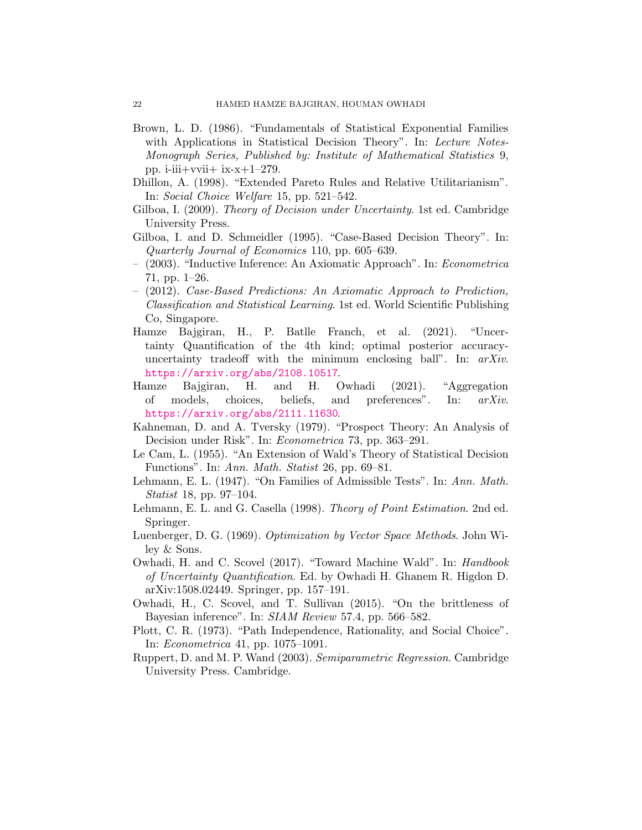- <span id="page-21-4"></span>Brown, L. D. (1986). "Fundamentals of Statistical Exponential Families with Applications in Statistical Decision Theory". In: Lecture Notes-Monograph Series, Published by: Institute of Mathematical Statistics 9, pp. i-iii+vvii+ ix- $x+1-279$ .
- <span id="page-21-14"></span><span id="page-21-10"></span>Dhillon, A. (1998). "Extended Pareto Rules and Relative Utilitarianism". In: Social Choice Welfare 15, pp. 521–542.
- <span id="page-21-11"></span>Gilboa, I. (2009). Theory of Decision under Uncertainty. 1st ed. Cambridge University Press.
- <span id="page-21-12"></span>Gilboa, I. and D. Schmeidler (1995). "Case-Based Decision Theory". In: Quarterly Journal of Economics 110, pp. 605–639.
- <span id="page-21-13"></span>– (2003). "Inductive Inference: An Axiomatic Approach". In: Econometrica 71, pp. 1–26.
- (2012). Case-Based Predictions: An Axiomatic Approach to Prediction, Classification and Statistical Learning. 1st ed. World Scientific Publishing Co, Singapore.
- <span id="page-21-8"></span>Hamze Bajgiran, H., P. Batlle Franch, et al. (2021). "Uncertainty Quantification of the 4th kind; optimal posterior accuracyuncertainty tradeoff with the minimum enclosing ball". In:  $arXiv$ . <https://arxiv.org/abs/2108.10517>.
- <span id="page-21-0"></span>Hamze Bajgiran, H. and H. Owhadi (2021). "Aggregation of models, choices, beliefs, and preferences". In: arXiv. <https://arxiv.org/abs/2111.11630>.
- <span id="page-21-9"></span><span id="page-21-3"></span>Kahneman, D. and A. Tversky (1979). "Prospect Theory: An Analysis of Decision under Risk". In: Econometrica 73, pp. 363–291.
- <span id="page-21-2"></span>Le Cam, L. (1955). "An Extension of Wald's Theory of Statistical Decision Functions". In: Ann. Math. Statist 26, pp. 69–81.
- <span id="page-21-5"></span>Lehmann, E. L. (1947). "On Families of Admissible Tests". In: Ann. Math. Statist 18, pp. 97–104.
- <span id="page-21-1"></span>Lehmann, E. L. and G. Casella (1998). Theory of Point Estimation. 2nd ed. Springer.
- <span id="page-21-7"></span>Luenberger, D. G. (1969). Optimization by Vector Space Methods. John Wiley & Sons.
- Owhadi, H. and C. Scovel (2017). "Toward Machine Wald". In: *Handbook* of Uncertainty Quantification. Ed. by Owhadi H. Ghanem R. Higdon D. arXiv:1508.02449. Springer, pp. 157–191.
- <span id="page-21-6"></span>Owhadi, H., C. Scovel, and T. Sullivan (2015). "On the brittleness of Bayesian inference". In: SIAM Review 57.4, pp. 566–582.
- <span id="page-21-15"></span>Plott, C. R. (1973). "Path Independence, Rationality, and Social Choice". In: Econometrica 41, pp. 1075–1091.
- <span id="page-21-16"></span>Ruppert, D. and M. P. Wand (2003). Semiparametric Regression. Cambridge University Press. Cambridge.